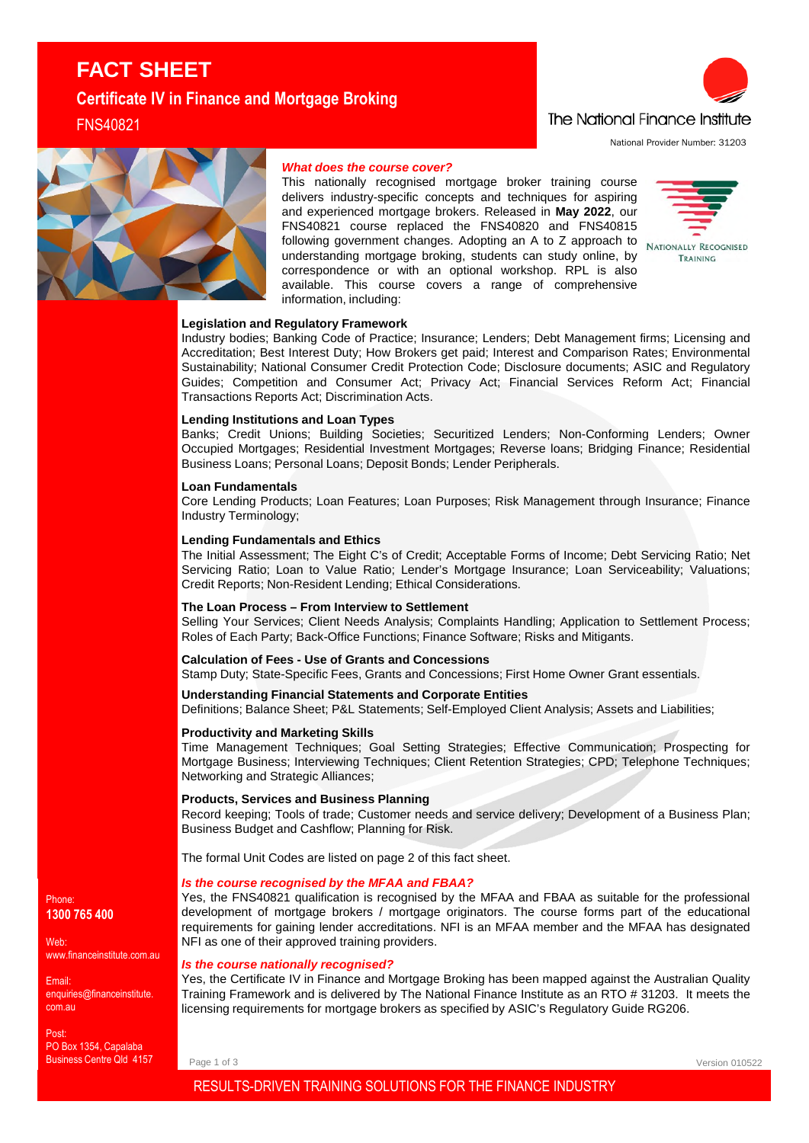# **FACT SHEET Certificate IV in Finance and Mortgage Broking**

FNS40821



National Provider Number: 31203



# *What does the course cover?*

This nationally recognised mortgage broker training course delivers industry-specific concepts and techniques for aspiring and experienced mortgage brokers. Released in **May 2022**, our FNS40821 course replaced the FNS40820 and FNS40815 FING TOO LI COULD TO PROCESS ADOPTING A TO Z approach to NATIONALLY RECOGNISED understanding mortgage broking, students can study online, by correspondence or with an optional workshop. RPL is also available. This course covers a range of comprehensive information, including:



# **Legislation and Regulatory Framework**

Industry bodies; Banking Code of Practice; Insurance; Lenders; Debt Management firms; Licensing and Accreditation; Best Interest Duty; How Brokers get paid; Interest and Comparison Rates; Environmental Sustainability; National Consumer Credit Protection Code; Disclosure documents; ASIC and Regulatory Guides; Competition and Consumer Act; Privacy Act; Financial Services Reform Act; Financial Transactions Reports Act; Discrimination Acts.

#### **Lending Institutions and Loan Types**

Banks; Credit Unions; Building Societies; Securitized Lenders; Non-Conforming Lenders; Owner Occupied Mortgages; Residential Investment Mortgages; Reverse loans; Bridging Finance; Residential Business Loans; Personal Loans; Deposit Bonds; Lender Peripherals.

# **Loan Fundamentals**

Core Lending Products; Loan Features; Loan Purposes; Risk Management through Insurance; Finance Industry Terminology;

#### **Lending Fundamentals and Ethics**

The Initial Assessment; The Eight C's of Credit; Acceptable Forms of Income; Debt Servicing Ratio; Net Servicing Ratio; Loan to Value Ratio; Lender's Mortgage Insurance; Loan Serviceability; Valuations; Credit Reports; Non-Resident Lending; Ethical Considerations.

#### **The Loan Process – From Interview to Settlement**

Selling Your Services; Client Needs Analysis; Complaints Handling; Application to Settlement Process; Roles of Each Party; Back-Office Functions; Finance Software; Risks and Mitigants.

# **Calculation of Fees - Use of Grants and Concessions**

Stamp Duty; State-Specific Fees, Grants and Concessions; First Home Owner Grant essentials.

# **Understanding Financial Statements and Corporate Entities**

Definitions; Balance Sheet; P&L Statements; Self-Employed Client Analysis; Assets and Liabilities;

## **Productivity and Marketing Skills**

Time Management Techniques; Goal Setting Strategies; Effective Communication; Prospecting for Mortgage Business; Interviewing Techniques; Client Retention Strategies; CPD; Telephone Techniques; Networking and Strategic Alliances;

#### **Products, Services and Business Planning**

Record keeping; Tools of trade; Customer needs and service delivery; Development of a Business Plan; Business Budget and Cashflow; Planning for Risk.

The formal Unit Codes are listed on page 2 of this fact sheet.

## *Is the course recognised by the MFAA and FBAA?*

Yes, the FNS40821 qualification is recognised by the MFAA and FBAA as suitable for the professional development of mortgage brokers / mortgage originators. The course forms part of the educational requirements for gaining lender accreditations. NFI is an MFAA member and the MFAA has designated NFI as one of their approved training providers.

# *Is the course nationally recognised?*

Yes, the Certificate IV in Finance and Mortgage Broking has been mapped against the Australian Quality Training Framework and is delivered by The National Finance Institute as an RTO # 31203. It meets the licensing requirements for mortgage brokers as specified by ASIC's Regulatory Guide RG206.

Page 1 of 3

Version 010522

RESULTS-DRIVEN TRAINING SOLUTIONS FOR THE FINANCE INDUSTRY

## Phone: **1300 765 400**

Web: www.financeinstitute.com.au

Email: enquiries@financeinstitute. com.au

Post: PO Box 1354, Capalaba Business Centre Qld 4157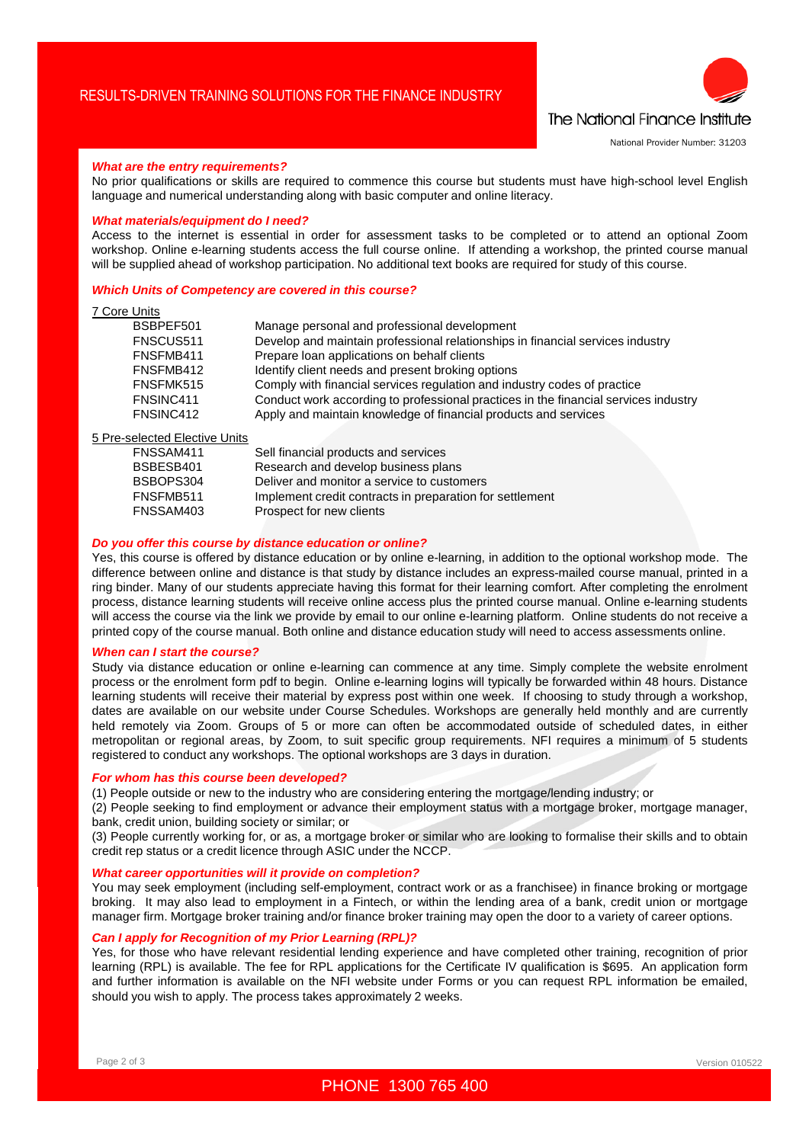

National Provider Number: 31203

## *What are the entry requirements?*

No prior qualifications or skills are required to commence this course but students must have high-school level English language and numerical understanding along with basic computer and online literacy.

## *What materials/equipment do I need?*

Access to the internet is essential in order for assessment tasks to be completed or to attend an optional Zoom workshop. Online e-learning students access the full course online. If attending a workshop, the printed course manual will be supplied ahead of workshop participation. No additional text books are required for study of this course.

#### *Which Units of Competency are covered in this course?*

# 7 Core Units

| BSBPEF501 | Manage personal and professional development                                        |
|-----------|-------------------------------------------------------------------------------------|
| FNSCUS511 | Develop and maintain professional relationships in financial services industry      |
| FNSFMB411 | Prepare loan applications on behalf clients                                         |
| FNSFMB412 | Identify client needs and present broking options                                   |
| FNSFMK515 | Comply with financial services regulation and industry codes of practice            |
| FNSINC411 | Conduct work according to professional practices in the financial services industry |
| FNSINC412 | Apply and maintain knowledge of financial products and services                     |
|           |                                                                                     |

# 5 Pre-selected Elective Units

| FNSSAM411 | Sell financial products and services                     |
|-----------|----------------------------------------------------------|
| BSBESB401 | Research and develop business plans                      |
| BSBOPS304 | Deliver and monitor a service to customers               |
| FNSFMB511 | Implement credit contracts in preparation for settlement |
| FNSSAM403 | Prospect for new clients                                 |
|           |                                                          |

# *Do you offer this course by distance education or online?*

Yes, this course is offered by distance education or by online e-learning, in addition to the optional workshop mode. The difference between online and distance is that study by distance includes an express-mailed course manual, printed in a ring binder. Many of our students appreciate having this format for their learning comfort. After completing the enrolment process, distance learning students will receive online access plus the printed course manual. Online e-learning students will access the course via the link we provide by email to our online e-learning platform. Online students do not receive a printed copy of the course manual. Both online and distance education study will need to access assessments online.

#### *When can I start the course?*

Study via distance education or online e-learning can commence at any time. Simply complete the website enrolment process or the enrolment form pdf to begin. Online e-learning logins will typically be forwarded within 48 hours. Distance learning students will receive their material by express post within one week. If choosing to study through a workshop, dates are available on our website under Course Schedules. Workshops are generally held monthly and are currently held remotely via Zoom. Groups of 5 or more can often be accommodated outside of scheduled dates, in either metropolitan or regional areas, by Zoom, to suit specific group requirements. NFI requires a minimum of 5 students registered to conduct any workshops. The optional workshops are 3 days in duration.

## *For whom has this course been developed?*

(1) People outside or new to the industry who are considering entering the mortgage/lending industry; or

(2) People seeking to find employment or advance their employment status with a mortgage broker, mortgage manager, bank, credit union, building society or similar; or

(3) People currently working for, or as, a mortgage broker or similar who are looking to formalise their skills and to obtain credit rep status or a credit licence through ASIC under the NCCP.

# *What career opportunities will it provide on completion?*

You may seek employment (including self-employment, contract work or as a franchisee) in finance broking or mortgage broking. It may also lead to employment in a Fintech, or within the lending area of a bank, credit union or mortgage manager firm. Mortgage broker training and/or finance broker training may open the door to a variety of career options.

# *Can I apply for Recognition of my Prior Learning (RPL)?*

Yes, for those who have relevant residential lending experience and have completed other training, recognition of prior learning (RPL) is available. The fee for RPL applications for the Certificate IV qualification is \$695. An application form and further information is available on the NFI website under Forms or you can request RPL information be emailed, should you wish to apply. The process takes approximately 2 weeks.